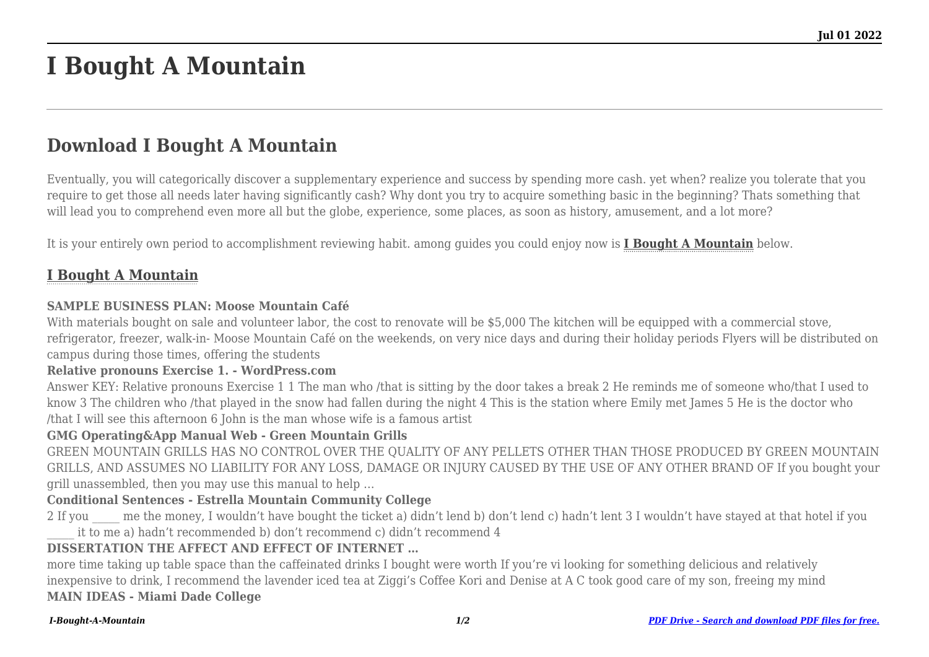# **I Bought A Mountain**

## **Download I Bought A Mountain**

Eventually, you will categorically discover a supplementary experience and success by spending more cash. yet when? realize you tolerate that you require to get those all needs later having significantly cash? Why dont you try to acquire something basic in the beginning? Thats something that will lead you to comprehend even more all but the globe, experience, some places, as soon as history, amusement, and a lot more?

It is your entirely own period to accomplishment reviewing habit. among guides you could enjoy now is **[I Bought A Mountain](http://goldwoodgardens.com)** below.

### **[I Bought A Mountain](http://goldwoodgardens.com/I-Bought-A-Mountain.pdf)**

#### **SAMPLE BUSINESS PLAN: Moose Mountain Café**

With materials bought on sale and volunteer labor, the cost to renovate will be \$5,000 The kitchen will be equipped with a commercial stove, refrigerator, freezer, walk-in- Moose Mountain Café on the weekends, on very nice days and during their holiday periods Flyers will be distributed on campus during those times, offering the students

#### **Relative pronouns Exercise 1. - WordPress.com**

Answer KEY: Relative pronouns Exercise 1 1 The man who /that is sitting by the door takes a break 2 He reminds me of someone who/that I used to know 3 The children who /that played in the snow had fallen during the night 4 This is the station where Emily met James 5 He is the doctor who /that I will see this afternoon 6 John is the man whose wife is a famous artist

#### **GMG Operating&App Manual Web - Green Mountain Grills**

GREEN MOUNTAIN GRILLS HAS NO CONTROL OVER THE QUALITY OF ANY PELLETS OTHER THAN THOSE PRODUCED BY GREEN MOUNTAIN GRILLS, AND ASSUMES NO LIABILITY FOR ANY LOSS, DAMAGE OR INJURY CAUSED BY THE USE OF ANY OTHER BRAND OF If you bought your grill unassembled, then you may use this manual to help …

#### **Conditional Sentences - Estrella Mountain Community College**

2 If you me the money, I wouldn't have bought the ticket a) didn't lend b) don't lend c) hadn't lent 3 I wouldn't have stayed at that hotel if you \_\_\_\_\_ it to me a) hadn't recommended b) don't recommend c) didn't recommend 4

#### **DISSERTATION THE AFFECT AND EFFECT OF INTERNET …**

more time taking up table space than the caffeinated drinks I bought were worth If you're vi looking for something delicious and relatively inexpensive to drink, I recommend the lavender iced tea at Ziggi's Coffee Kori and Denise at A C took good care of my son, freeing my mind **MAIN IDEAS - Miami Dade College**